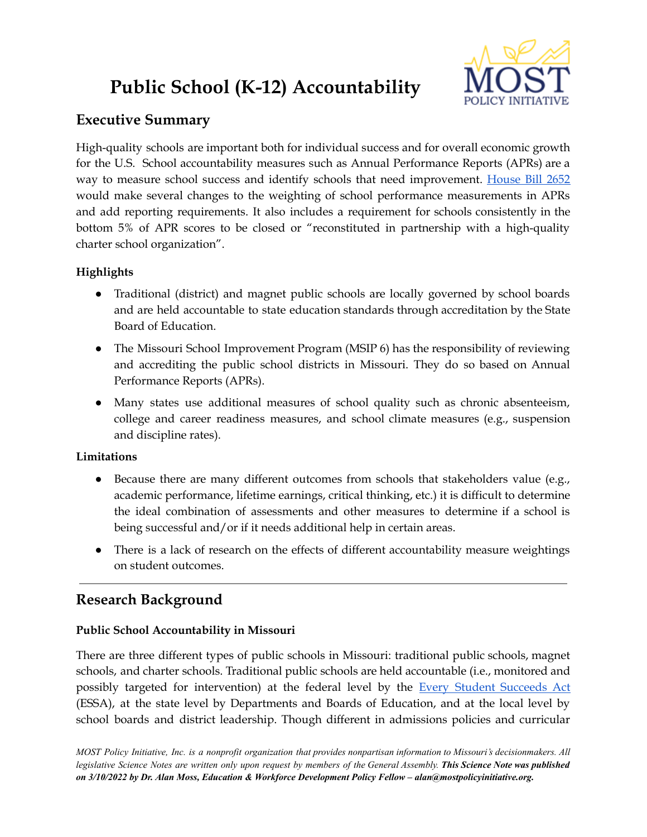# **Public School (K-12) Accountability**



## **Executive Summary**

High-quality schools are important both for individual success and for overall economic growth for the U.S. School accountability measures such as Annual Performance Reports (APRs) are a way to measure school success and identify schools that need improvement. [House](https://www.house.mo.gov/Bill.aspx?bill=HB2652&year=2022&code=R) Bill 2652 would make several changes to the weighting of school performance measurements in APRs and add reporting requirements. It also includes a requirement for schools consistently in the bottom 5% of APR scores to be closed or "reconstituted in partnership with a high-quality charter school organization".

## **Highlights**

- Traditional (district) and magnet public schools are locally governed by school boards and are held accountable to state education standards through accreditation by the State Board of Education.
- The Missouri School Improvement Program (MSIP 6) has the responsibility of reviewing and accrediting the public school districts in Missouri. They do so based on Annual Performance Reports (APRs).
- Many states use additional measures of school quality such as chronic absenteeism, college and career readiness measures, and school climate measures (e.g., suspension and discipline rates).

### **Limitations**

- Because there are many different outcomes from schools that stakeholders value (e.g., academic performance, lifetime earnings, critical thinking, etc.) it is difficult to determine the ideal combination of assessments and other measures to determine if a school is being successful and/or if it needs additional help in certain areas.
- There is a lack of research on the effects of different accountability measure weightings on student outcomes.

## **Research Background**

## **Public School Accountability in Missouri**

There are three different types of public schools in Missouri: traditional public schools, magnet schools, and charter schools. Traditional public schools are held accountable (i.e., monitored and possibly targeted for intervention) at the federal level by the Every Student [Succeeds](https://www.ed.gov/essa?src=rn) Act (ESSA), at the state level by Departments and Boards of Education, and at the local level by school boards and district leadership. Though different in admissions policies and curricular

MOST Policy Initiative, Inc. is a nonprofit organization that provides nonpartisan information to Missouri's decisionmakers. All legislative Science Notes are written only upon request by members of the General Assembly. This Science Note was published *on 3/10/2022 by Dr. Alan Moss, Education & Workforce Development Policy Fellow – alan@mostpolicyinitiative.org.*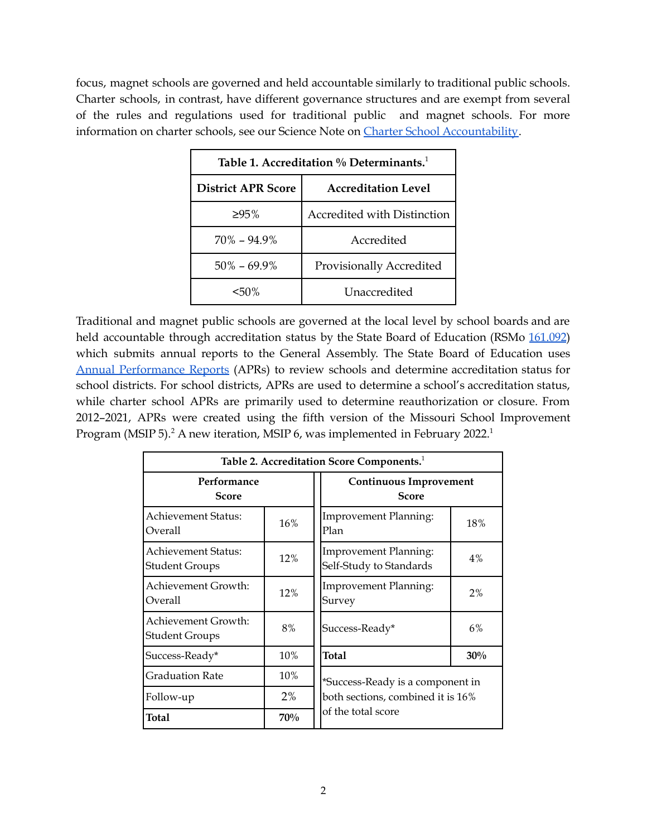focus, magnet schools are governed and held accountable similarly to traditional public schools. Charter schools, in contrast, have different governance structures and are exempt from several of the rules and regulations used for traditional public and magnet schools. For more information on charter schools, see our Science Note on Charter School [Accountability.](https://mostpolicyinitiative.org/science-note/charter-school-accountability/)

| Table 1. Accreditation % Determinants. <sup>1</sup> |                                    |  |  |
|-----------------------------------------------------|------------------------------------|--|--|
| <b>District APR Score</b>                           | <b>Accreditation Level</b>         |  |  |
| $>95\%$                                             | <b>Accredited with Distinction</b> |  |  |
| $70\% - 94.9\%$                                     | Accredited                         |  |  |
| $50\% - 69.9\%$                                     | Provisionally Accredited           |  |  |
| $50\%$                                              | Unaccredited                       |  |  |

Traditional and magnet public schools are governed at the local level by school boards and are held accountable through accreditation status by the State Board of Education (RSMo [161.092](https://revisor.mo.gov/main/OneSection.aspx?section=161.092)) which submits annual reports to the General Assembly. The State Board of Education uses Annual [Performance](https://dese.mo.gov/quality-schools/accountability-data/annual-performance-report) Reports (APRs) to review schools and determine accreditation status for school districts. For school districts, APRs are used to determine a school's accreditation status, while charter school APRs are primarily used to determine reauthorization or closure. From 2012–2021, APRs were created using the fifth version of the Missouri School Improvement Program (MSIP 5).<sup>2</sup> A new iteration, MSIP 6, was implemented in February 2022.<sup>1</sup>

| Table 2. Accreditation Score Components. <sup>1</sup> |     |                                                  |       |  |
|-------------------------------------------------------|-----|--------------------------------------------------|-------|--|
| Performance<br>Score                                  |     | <b>Continuous Improvement</b><br><b>Score</b>    |       |  |
| <b>Achievement Status:</b><br>Overall                 | 16% | <b>Improvement Planning:</b><br>Plan             | 18%   |  |
| Achievement Status:<br><b>Student Groups</b>          | 12% | Improvement Planning:<br>Self-Study to Standards | $4\%$ |  |
| Achievement Growth:<br>Overall                        | 12% | <b>Improvement Planning:</b><br>Survey           | $2\%$ |  |
| Achievement Growth:<br><b>Student Groups</b>          | 8%  | Success-Ready*                                   | 6%    |  |
| Success-Ready*                                        | 10% | <b>Total</b>                                     | 30%   |  |
| <b>Graduation Rate</b>                                | 10% | *Success-Ready is a component in                 |       |  |
| Follow-up                                             | 2%  | both sections, combined it is 16%                |       |  |
| <b>Total</b>                                          | 70% | of the total score                               |       |  |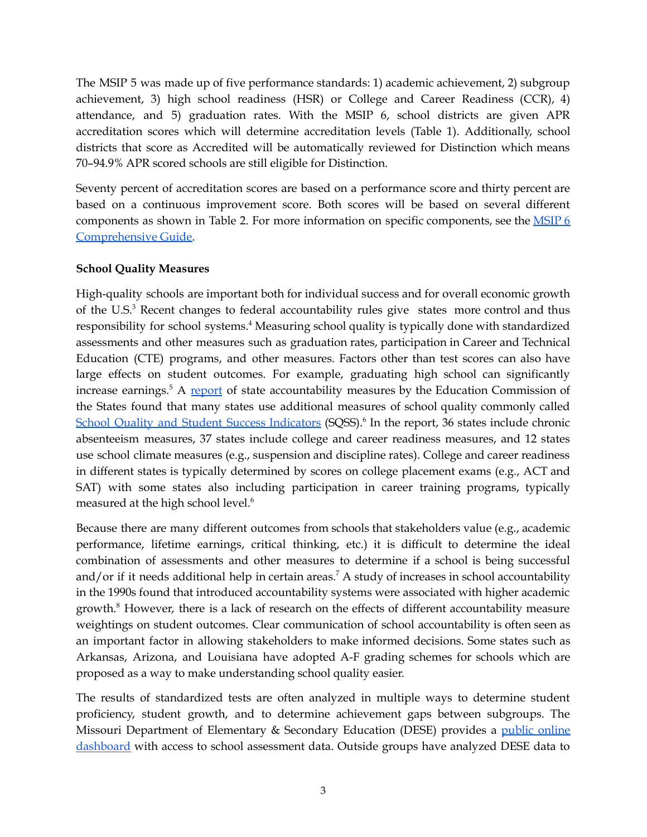The MSIP 5 was made up of five performance standards: 1) academic achievement, 2) subgroup achievement, 3) high school readiness (HSR) or College and Career Readiness (CCR), 4) attendance, and 5) graduation rates. With the MSIP 6, school districts are given APR accreditation scores which will determine accreditation levels (Table 1). Additionally, school districts that score as Accredited will be automatically reviewed for Distinction which means 70–94.9% APR scored schools are still eligible for Distinction.

Seventy percent of accreditation scores are based on a performance score and thirty percent are based on a continuous improvement score. Both scores will be based on several different components as shown in Table 2. For more information on specific components, see the [MSIP](https://dese.mo.gov/media/pdf/msip-6-comprehensive-guide-draft) 6 [Comprehensive](https://dese.mo.gov/media/pdf/msip-6-comprehensive-guide-draft) Guide.

#### **School Quality Measures**

High-quality schools are important both for individual success and for overall economic growth of the U.S.<sup>3</sup> Recent changes to federal accountability rules give states more control and thus responsibility for school systems. <sup>4</sup> Measuring school quality is typically done with standardized assessments and other measures such as graduation rates, participation in Career and Technical Education (CTE) programs, and other measures. Factors other than test scores can also have large effects on student outcomes. For example, graduating high school can significantly increase earnings.<sup>5</sup> A [report](https://www.ecs.org/50-state-comparison-states-school-accountability-systems/) of state accountability measures by the Education Commission of the States found that many states use additional measures of school quality commonly called School Quality and Student Success [Indicators](https://oese.ed.gov/resources/oese-technical-assistance-centers/state-support-network/communities-of-practice/school-quality-student-success-indicator/) (SQSS).<sup>6</sup> In the report, 36 states include chronic absenteeism measures, 37 states include college and career readiness measures, and 12 states use school climate measures (e.g., suspension and discipline rates). College and career readiness in different states is typically determined by scores on college placement exams (e.g., ACT and SAT) with some states also including participation in career training programs, typically measured at the high school level. 6

Because there are many different outcomes from schools that stakeholders value (e.g., academic performance, lifetime earnings, critical thinking, etc.) it is difficult to determine the ideal combination of assessments and other measures to determine if a school is being successful and/or if it needs additional help in certain areas. <sup>7</sup> A study of increases in school accountability in the 1990s found that introduced accountability systems were associated with higher academic growth.<sup>8</sup> However, there is a lack of research on the effects of different accountability measure weightings on student outcomes. Clear communication of school accountability is often seen as an important factor in allowing stakeholders to make informed decisions. Some states such as Arkansas, Arizona, and Louisiana have adopted A-F grading schemes for schools which are proposed as a way to make understanding school quality easier.

The results of standardized tests are often analyzed in multiple ways to determine student proficiency, student growth, and to determine achievement gaps between subgroups. The Missouri Department of Elementary & Secondary Education (DESE) provides a public [online](https://apps.dese.mo.gov/MCDS/Home.aspx) [dashboard](https://apps.dese.mo.gov/MCDS/Home.aspx) with access to school assessment data. Outside groups have analyzed DESE data to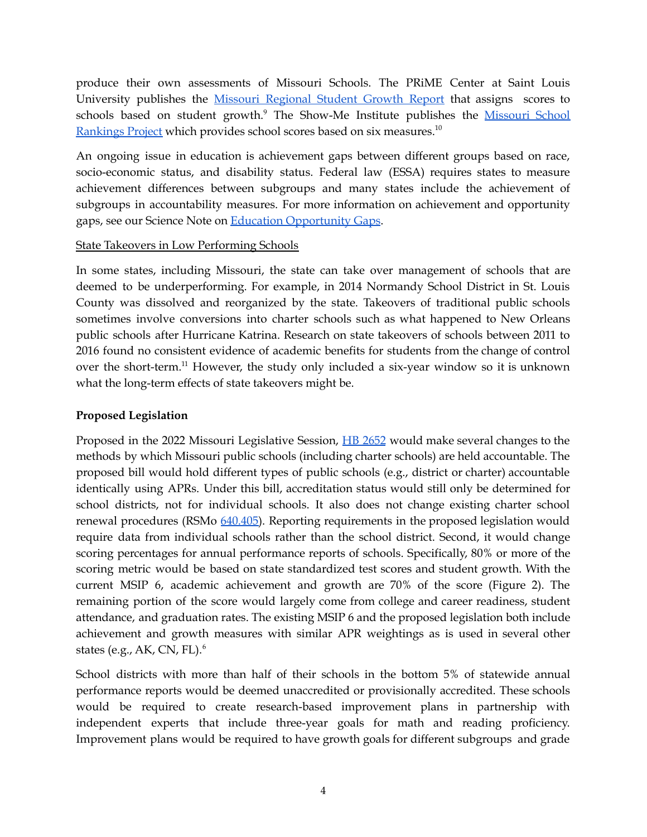produce their own assessments of Missouri Schools. The PRiME Center at Saint Louis University publishes the Missouri [Regional](https://www.sluprime.org/education-reports-database/mo-regional-growth2021) Student Growth Report that assigns scores to schools based on student growth.<sup>9</sup> The Show-Me Institute publishes the **[Missouri](https://moschoolrankings.org/) School** [Rankings](https://moschoolrankings.org/) Project which provides school scores based on six measures.<sup>10</sup>

An ongoing issue in education is achievement gaps between different groups based on race, socio-economic status, and disability status. Federal law (ESSA) requires states to measure achievement differences between subgroups and many states include the achievement of subgroups in accountability measures. For more information on achievement and opportunity gaps, see our Science Note on Education [Opportunity](https://mostpolicyinitiative.org/science-note/education-opportunity-gaps/) Gaps.

#### State Takeovers in Low Performing Schools

In some states, including Missouri, the state can take over management of schools that are deemed to be underperforming. For example, in 2014 Normandy School District in St. Louis County was dissolved and reorganized by the state. Takeovers of traditional public schools sometimes involve conversions into charter schools such as what happened to New Orleans public schools after Hurricane Katrina. Research on state takeovers of schools between 2011 to 2016 found no consistent evidence of academic benefits for students from the change of control over the short-term.<sup>11</sup> However, the study only included a six-year window so it is unknown what the long-term effects of state takeovers might be.

#### **Proposed Legislation**

Proposed in the 2022 Missouri Legislative Session, HB [2652](https://www.house.mo.gov/Bill.aspx?bill=HB2652&year=2022&code=R) would make several changes to the methods by which Missouri public schools (including charter schools) are held accountable. The proposed bill would hold different types of public schools (e.g., district or charter) accountable identically using APRs. Under this bill, accreditation status would still only be determined for school districts, not for individual schools. It also does not change existing charter school renewal procedures (RSMo [640.405\)](https://revisor.mo.gov/main/OneSection.aspx?section=160.405&srch=y). Reporting requirements in the proposed legislation would require data from individual schools rather than the school district. Second, it would change scoring percentages for annual performance reports of schools. Specifically, 80% or more of the scoring metric would be based on state standardized test scores and student growth. With the current MSIP 6, academic achievement and growth are 70% of the score (Figure 2). The remaining portion of the score would largely come from college and career readiness, student attendance, and graduation rates. The existing MSIP 6 and the proposed legislation both include achievement and growth measures with similar APR weightings as is used in several other states (e.g., AK, CN, FL). 6

School districts with more than half of their schools in the bottom 5% of statewide annual performance reports would be deemed unaccredited or provisionally accredited. These schools would be required to create research-based improvement plans in partnership with independent experts that include three-year goals for math and reading proficiency. Improvement plans would be required to have growth goals for different subgroups and grade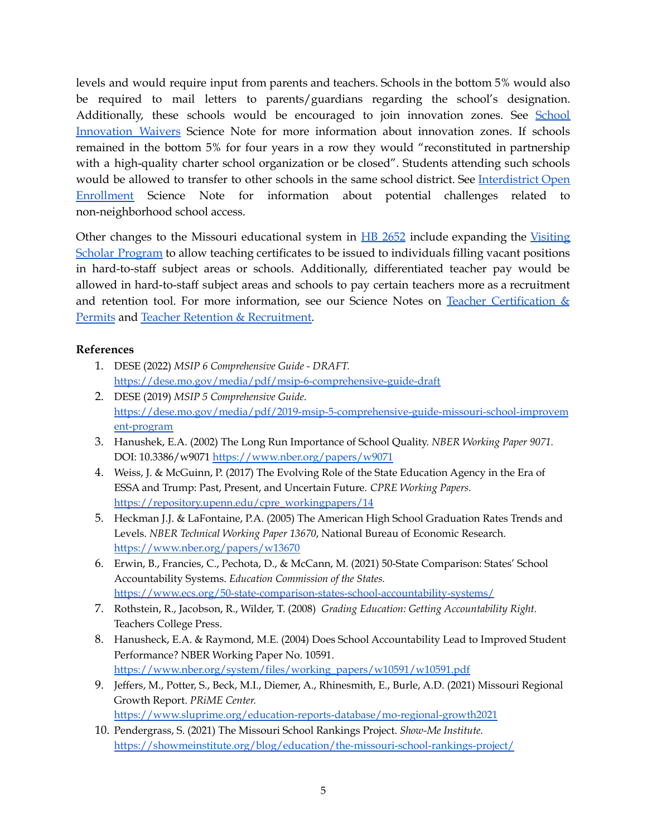levels and would require input from parents and teachers. Schools in the bottom 5% would also be required to mail letters to parents/guardians regarding the school's designation. Additionally, these schools would be encouraged to join innovation zones. See [School](https://mostpolicyinitiative.org/science-note/school-innovation-waivers/) [Innovation](https://mostpolicyinitiative.org/science-note/school-innovation-waivers/) Waivers Science Note for more information about innovation zones. If schools remained in the bottom 5% for four years in a row they would "reconstituted in partnership with a high-quality charter school organization or be closed". Students attending such schools would be allowed to transfer to other schools in the same school district. See [Interdistrict](https://mostpolicyinitiative.org/science-note/interdistrict-open-enrollment/) Open [Enrollment](https://mostpolicyinitiative.org/science-note/interdistrict-open-enrollment/) Science Note for information about potential challenges related to non-neighborhood school access.

Other changes to the Missouri educational system in HB [2652](https://www.house.mo.gov/Bill.aspx?bill=HB2652&year=2022&code=R) include expanding the [Visiting](https://dese.mo.gov/educator-quality/certification/visiting-scholar-certificate) Scholar [Program](https://dese.mo.gov/educator-quality/certification/visiting-scholar-certificate) to allow teaching certificates to be issued to individuals filling vacant positions in hard-to-staff subject areas or schools. Additionally, differentiated teacher pay would be allowed in hard-to-staff subject areas and schools to pay certain teachers more as a recruitment and retention tool. For more information, see our Science Notes on Teacher [Certification](https://mostpolicyinitiative.org/science-note/teacher-certification-permits/) & [Permits](https://mostpolicyinitiative.org/science-note/teacher-certification-permits/) and Teacher Retention & [Recruitment.](https://mostpolicyinitiative.org/science-note/teacher-recruitment-retention/)

#### **References**

- 1. DESE (2022) *MSIP 6 Comprehensive Guide - DRAFT.* <https://dese.mo.gov/media/pdf/msip-6-comprehensive-guide-draft>
- 2. DESE (2019) *MSIP 5 Comprehensive Guide*. [https://dese.mo.gov/media/pdf/2019-msip-5-comprehensive-guide-missouri-school-improvem](https://dese.mo.gov/media/pdf/2019-msip-5-comprehensive-guide-missouri-school-improvement-program) [ent-program](https://dese.mo.gov/media/pdf/2019-msip-5-comprehensive-guide-missouri-school-improvement-program)
- 3. Hanushek, E.A. (2002) The Long Run Importance of School Quality. *NBER Working Paper 9071.* DOI: 10.3386/w9071 <https://www.nber.org/papers/w9071>
- 4. Weiss, J. & McGuinn, P. (2017) The Evolving Role of the State Education Agency in the Era of ESSA and Trump: Past, Present, and Uncertain Future. *CPRE Working Papers.* [https://repository.upenn.edu/cpre\\_workingpapers/14](https://repository.upenn.edu/cpre_workingpapers/14)
- 5. Heckman J.J. & LaFontaine, P.A. (2005) The American High School Graduation Rates Trends and Levels. *NBER Technical Working Paper 13670*, National Bureau of Economic Research. <https://www.nber.org/papers/w13670>
- 6. Erwin, B., Francies, C., Pechota, D., & McCann, M. (2021) 50-State Comparison: States' School Accountability Systems. *Education Commission of the States.* <https://www.ecs.org/50-state-comparison-states-school-accountability-systems/>
- 7. Rothstein, R., Jacobson, R., Wilder, T. (2008) *Grading Education: Getting Accountability Right.* Teachers College Press.
- 8. Hanusheck, E.A. & Raymond, M.E. (2004) Does School Accountability Lead to Improved Student Performance? NBER Working Paper No. 10591. [https://www.nber.org/system/files/working\\_papers/w10591/w10591.pdf](https://www.nber.org/system/files/working_papers/w10591/w10591.pdf)
- 9. Jeffers, M., Potter, S., Beck, M.I., Diemer, A., Rhinesmith, E., Burle, A.D. (2021) Missouri Regional Growth Report. *PRiME Center.* <https://www.sluprime.org/education-reports-database/mo-regional-growth2021>
- 10. Pendergrass, S. (2021) The Missouri School Rankings Project. *Show-Me Institute.* <https://showmeinstitute.org/blog/education/the-missouri-school-rankings-project/>